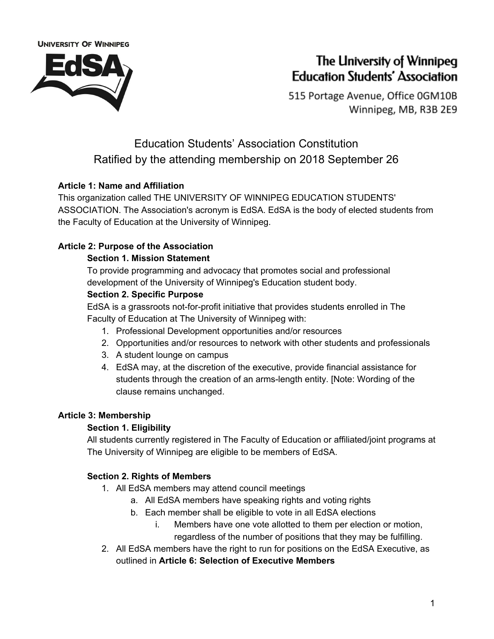

# The University of Winnipeg **Education Students' Association**

515 Portage Avenue, Office 0GM10B Winnipeg, MB, R3B 2E9

## Education Students' Association Constitution Ratified by the attending membership on 2018 September 26

### **Article 1: Name and Affiliation**

This organization called THE UNIVERSITY OF WINNIPEG EDUCATION STUDENTS' ASSOCIATION. The Association's acronym is EdSA. EdSA is the body of elected students from the Faculty of Education at the University of Winnipeg.

### **Article 2: Purpose of the Association**

### **Section 1. Mission Statement**

To provide programming and advocacy that promotes social and professional development of the University of Winnipeg's Education student body.

### **Section 2. Specific Purpose**

EdSA is a grassroots not-for-profit initiative that provides students enrolled in The Faculty of Education at The University of Winnipeg with:

- 1. Professional Development opportunities and/or resources
- 2. Opportunities and/or resources to network with other students and professionals
- 3. A student lounge on campus
- 4. EdSA may, at the discretion of the executive, provide financial assistance for students through the creation of an arms-length entity. [Note: Wording of the clause remains unchanged.

### **Article 3: Membership**

### **Section 1. Eligibility**

All students currently registered in The Faculty of Education or affiliated/joint programs at The University of Winnipeg are eligible to be members of EdSA.

### **Section 2. Rights of Members**

- 1. All EdSA members may attend council meetings
	- a. All EdSA members have speaking rights and voting rights
	- b. Each member shall be eligible to vote in all EdSA elections
		- i. Members have one vote allotted to them per election or motion, regardless of the number of positions that they may be fulfilling.
- 2. All EdSA members have the right to run for positions on the EdSA Executive, as outlined in **Article 6: Selection of Executive Members**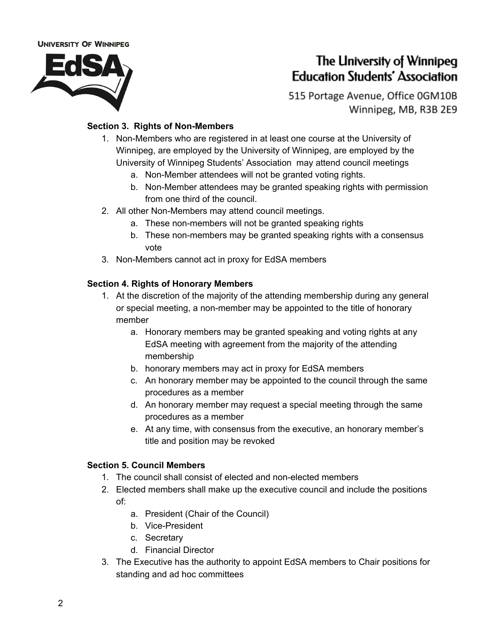

## The University of Winnipeg **Education Students' Association**

515 Portage Avenue, Office 0GM10B Winnipeg, MB, R3B 2E9

#### **Section 3. Rights of Non-Members**

- 1. Non-Members who are registered in at least one course at the University of Winnipeg, are employed by the University of Winnipeg, are employed by the University of Winnipeg Students' Association may attend council meetings
	- a. Non-Member attendees will not be granted voting rights.
	- b. Non-Member attendees may be granted speaking rights with permission from one third of the council.
- 2. All other Non-Members may attend council meetings.
	- a. These non-members will not be granted speaking rights
	- b. These non-members may be granted speaking rights with a consensus vote
- 3. Non-Members cannot act in proxy for EdSA members

#### **Section 4. Rights of Honorary Members**

- 1. At the discretion of the majority of the attending membership during any general or special meeting, a non-member may be appointed to the title of honorary member
	- a. Honorary members may be granted speaking and voting rights at any EdSA meeting with agreement from the majority of the attending membership
	- b. honorary members may act in proxy for EdSA members
	- c. An honorary member may be appointed to the council through the same procedures as a member
	- d. An honorary member may request a special meeting through the same procedures as a member
	- e. At any time, with consensus from the executive, an honorary member's title and position may be revoked

#### **Section 5. Council Members**

- 1. The council shall consist of elected and non-elected members
- 2. Elected members shall make up the executive council and include the positions of:
	- a. President (Chair of the Council)
	- b. Vice-President
	- c. Secretary
	- d. Financial Director
- 3. The Executive has the authority to appoint EdSA members to Chair positions for standing and ad hoc committees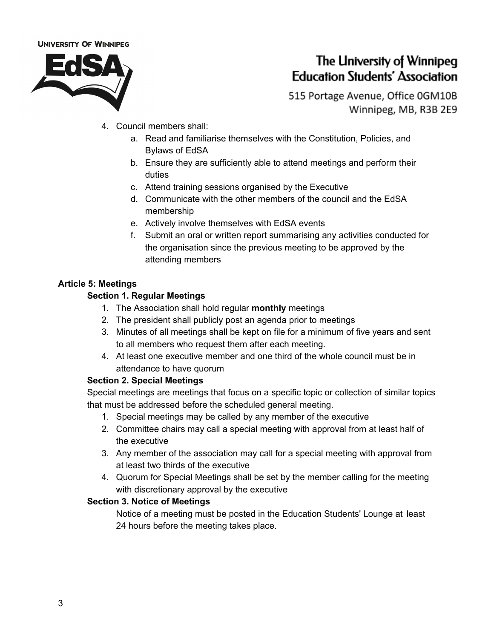

## The University of Winnipeg **Education Students' Association**

515 Portage Avenue, Office 0GM10B Winnipeg, MB, R3B 2E9

- 4. Council members shall:
	- a. Read and familiarise themselves with the Constitution, Policies, and Bylaws of EdSA
	- b. Ensure they are sufficiently able to attend meetings and perform their duties
	- c. Attend training sessions organised by the Executive
	- d. Communicate with the other members of the council and the EdSA membership
	- e. Actively involve themselves with EdSA events
	- f. Submit an oral or written report summarising any activities conducted for the organisation since the previous meeting to be approved by the attending members

#### **Article 5: Meetings**

### **Section 1. Regular Meetings**

- 1. The Association shall hold regular **monthly** meetings
- 2. The president shall publicly post an agenda prior to meetings
- 3. Minutes of all meetings shall be kept on file for a minimum of five years and sent to all members who request them after each meeting.
- 4. At least one executive member and one third of the whole council must be in attendance to have quorum

### **Section 2. Special Meetings**

Special meetings are meetings that focus on a specific topic or collection of similar topics that must be addressed before the scheduled general meeting.

- 1. Special meetings may be called by any member of the executive
- 2. Committee chairs may call a special meeting with approval from at least half of the executive
- 3. Any member of the association may call for a special meeting with approval from at least two thirds of the executive
- 4. Quorum for Special Meetings shall be set by the member calling for the meeting with discretionary approval by the executive

### **Section 3. Notice of Meetings**

Notice of a meeting must be posted in the Education Students' Lounge at least 24 hours before the meeting takes place.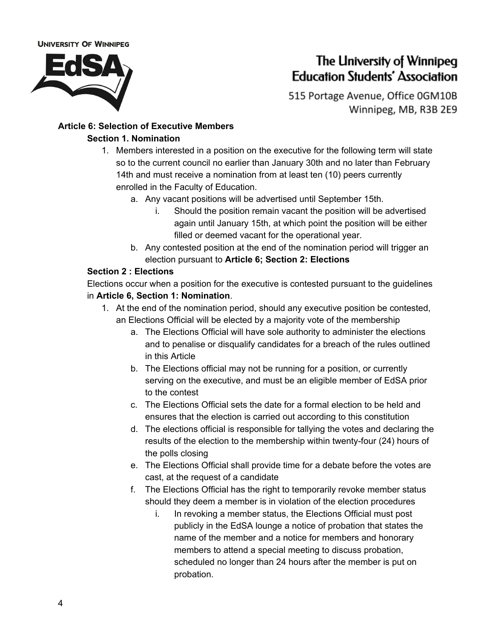

# The University of Winnipeg **Education Students' Association**

515 Portage Avenue, Office 0GM10B Winnipeg, MB, R3B 2E9

### **Article 6: Selection of Executive Members Section 1. Nomination**

- 1. Members interested in a position on the executive for the following term will state so to the current council no earlier than January 30th and no later than February 14th and must receive a nomination from at least ten (10) peers currently enrolled in the Faculty of Education.
	- a. Any vacant positions will be advertised until September 15th.
		- i. Should the position remain vacant the position will be advertised again until January 15th, at which point the position will be either filled or deemed vacant for the operational year.
	- b. Any contested position at the end of the nomination period will trigger an election pursuant to **Article 6; Section 2: Elections**

### **Section 2 : Elections**

Elections occur when a position for the executive is contested pursuant to the guidelines in **Article 6, Section 1: Nomination**.

- 1. At the end of the nomination period, should any executive position be contested, an Elections Official will be elected by a majority vote of the membership
	- a. The Elections Official will have sole authority to administer the elections and to penalise or disqualify candidates for a breach of the rules outlined in this Article
	- b. The Elections official may not be running for a position, or currently serving on the executive, and must be an eligible member of EdSA prior to the contest
	- c. The Elections Official sets the date for a formal election to be held and ensures that the election is carried out according to this constitution
	- d. The elections official is responsible for tallying the votes and declaring the results of the election to the membership within twenty-four (24) hours of the polls closing
	- e. The Elections Official shall provide time for a debate before the votes are cast, at the request of a candidate
	- f. The Elections Official has the right to temporarily revoke member status should they deem a member is in violation of the election procedures
		- i. In revoking a member status, the Elections Official must post publicly in the EdSA lounge a notice of probation that states the name of the member and a notice for members and honorary members to attend a special meeting to discuss probation, scheduled no longer than 24 hours after the member is put on probation.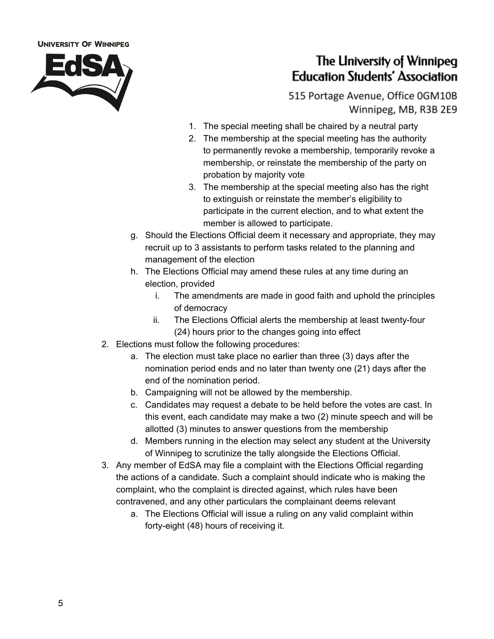

## The University of Winnipeg **Education Students' Association**

515 Portage Avenue, Office 0GM10B Winnipeg, MB, R3B 2E9

- 1. The special meeting shall be chaired by a neutral party
- 2. The membership at the special meeting has the authority to permanently revoke a membership, temporarily revoke a membership, or reinstate the membership of the party on probation by majority vote
- 3. The membership at the special meeting also has the right to extinguish or reinstate the member's eligibility to participate in the current election, and to what extent the member is allowed to participate.
- g. Should the Elections Official deem it necessary and appropriate, they may recruit up to 3 assistants to perform tasks related to the planning and management of the election
- h. The Elections Official may amend these rules at any time during an election, provided
	- i. The amendments are made in good faith and uphold the principles of democracy
	- ii. The Elections Official alerts the membership at least twenty-four (24) hours prior to the changes going into effect
- 2. Elections must follow the following procedures:
	- a. The election must take place no earlier than three (3) days after the nomination period ends and no later than twenty one (21) days after the end of the nomination period.
	- b. Campaigning will not be allowed by the membership.
	- c. Candidates may request a debate to be held before the votes are cast. In this event, each candidate may make a two (2) minute speech and will be allotted (3) minutes to answer questions from the membership
	- d. Members running in the election may select any student at the University of Winnipeg to scrutinize the tally alongside the Elections Official.
- 3. Any member of EdSA may file a complaint with the Elections Official regarding the actions of a candidate. Such a complaint should indicate who is making the complaint, who the complaint is directed against, which rules have been contravened, and any other particulars the complainant deems relevant
	- a. The Elections Official will issue a ruling on any valid complaint within forty-eight (48) hours of receiving it.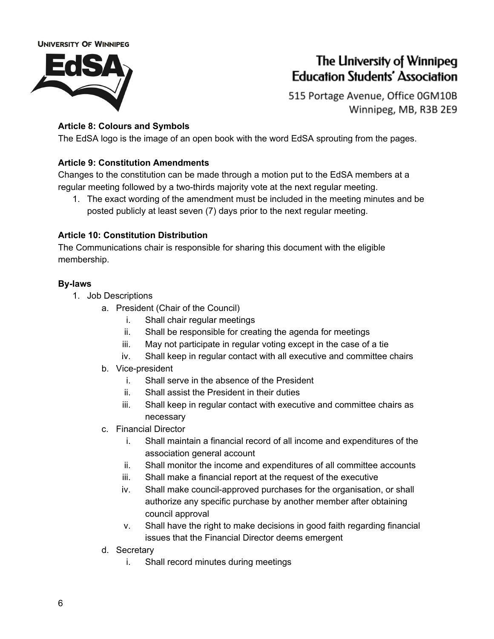

## The University of Winnipeg **Education Students' Association**

515 Portage Avenue, Office 0GM10B Winnipeg, MB, R3B 2E9

### **Article 8: Colours and Symbols**

The EdSA logo is the image of an open book with the word EdSA sprouting from the pages.

### **Article 9: Constitution Amendments**

Changes to the constitution can be made through a motion put to the EdSA members at a regular meeting followed by a two-thirds majority vote at the next regular meeting.

1. The exact wording of the amendment must be included in the meeting minutes and be posted publicly at least seven (7) days prior to the next regular meeting.

#### **Article 10: Constitution Distribution**

The Communications chair is responsible for sharing this document with the eligible membership.

#### **By-laws**

- 1. Job Descriptions
	- a. President (Chair of the Council)
		- i. Shall chair regular meetings
		- ii. Shall be responsible for creating the agenda for meetings
		- iii. May not participate in regular voting except in the case of a tie
		- iv. Shall keep in regular contact with all executive and committee chairs
	- b. Vice-president
		- i. Shall serve in the absence of the President
		- ii. Shall assist the President in their duties
		- iii. Shall keep in regular contact with executive and committee chairs as necessary
	- c. Financial Director
		- i. Shall maintain a financial record of all income and expenditures of the association general account
		- ii. Shall monitor the income and expenditures of all committee accounts
		- iii. Shall make a financial report at the request of the executive
		- iv. Shall make council-approved purchases for the organisation, or shall authorize any specific purchase by another member after obtaining council approval
		- v. Shall have the right to make decisions in good faith regarding financial issues that the Financial Director deems emergent
	- d. Secretary
		- i. Shall record minutes during meetings